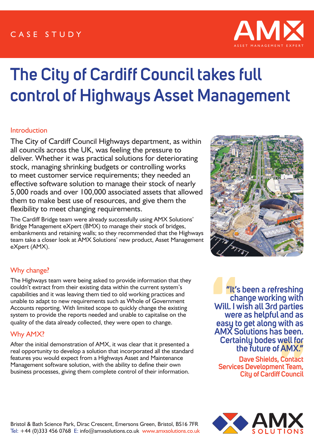# CASE STUDY



# **The City of Cardiff Council takes full control of Highways Asset Management**

### **Introduction**

The City of Cardiff Council Highways department, as within all councils across the UK, was feeling the pressure to deliver. Whether it was practical solutions for deteriorating stock, managing shrinking budgets or controlling works to meet customer service requirements; they needed an effective software solution to manage their stock of nearly 5,000 roads and over 100,000 associated assets that allowed them to make best use of resources, and give them the flexibility to meet changing requirements.

The Cardiff Bridge team were already successfully using AMX Solutions' Bridge Management eXpert (BMX) to manage their stock of bridges, embankments and retaining walls; so they recommended that the Highways team take a closer look at AMX Solutions' new product, Asset Management eXpert (AMX).



## Why change?

The Highways team were being asked to provide information that they couldn't extract from their existing data within the current system's capabilities and it was leaving them tied to old working practices and unable to adapt to new requirements such as Whole of Government Accounts reporting. With limited scope to quickly change the existing system to provide the reports needed and unable to capitalise on the quality of the data already collected, they were open to change.

## Why AMX?

After the initial demonstration of AMX, it was clear that it presented a real opportunity to develop a solution that incorporated all the standard features you would expect from a Highways Asset and Maintenance Management software solution, with the ability to define their own business processes, giving them complete control of their information.

**"It's been a refreshing change working with Will. I wish all 3rd parties were as helpful and as easy to get along with as AMX Solutions has been. Certainly bodes well for the future of AMX."** 

**Dave Shields, Contact Services Development Team, City of Cardiff Council**